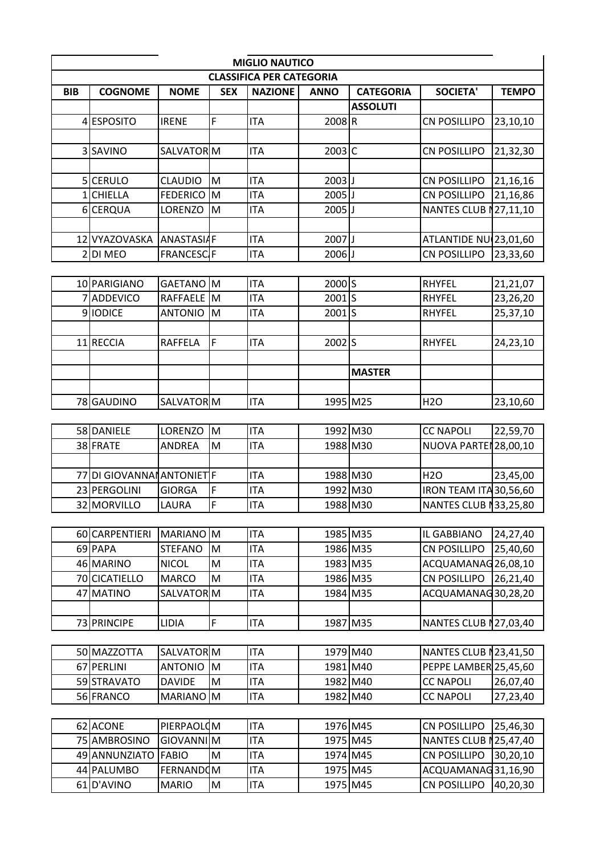|            | <b>MIGLIO NAUTICO</b>    |                                       |             |                                 |                     |                  |                                                |                      |
|------------|--------------------------|---------------------------------------|-------------|---------------------------------|---------------------|------------------|------------------------------------------------|----------------------|
|            |                          |                                       |             | <b>CLASSIFICA PER CATEGORIA</b> |                     |                  |                                                |                      |
| <b>BIB</b> | <b>COGNOME</b>           | <b>NOME</b>                           | <b>SEX</b>  | <b>NAZIONE</b>                  | <b>ANNO</b>         | <b>CATEGORIA</b> | <b>SOCIETA'</b>                                | <b>TEMPO</b>         |
|            |                          |                                       |             |                                 |                     | <b>ASSOLUTI</b>  |                                                |                      |
|            | <b>ESPOSITO</b>          | <b>IRENE</b>                          | $\mathsf F$ | <b>ITA</b>                      | $2008$ <sub>R</sub> |                  | <b>CN POSILLIPO</b>                            | 23,10,10             |
|            |                          |                                       |             |                                 |                     |                  |                                                |                      |
|            | 3 SAVINO                 | SALVATOR M                            |             | <b>ITA</b>                      | $2003$ C            |                  | <b>CN POSILLIPO</b>                            | 21,32,30             |
|            |                          |                                       |             |                                 |                     |                  |                                                |                      |
|            | 5 CERULO                 | <b>CLAUDIO</b>                        | M           | <b>ITA</b>                      | $2003$ J            |                  | <b>CN POSILLIPO</b>                            | 21,16,16             |
|            | <b>CHIELLA</b>           | <b>FEDERICO</b>                       | <b>M</b>    | <b>ITA</b>                      | $2005$ J            |                  | <b>CN POSILLIPO</b>                            | 21,16,86             |
|            | 6 CERQUA                 | LORENZO                               | Iм          | <b>ITA</b>                      | $2005$ J            |                  | NANTES CLUB N27,11,10                          |                      |
|            |                          |                                       |             |                                 |                     |                  |                                                |                      |
|            | 12 VYAZOVASKA            | <b>ANASTASIAF</b>                     |             | <b>ITA</b>                      | 2007JJ              |                  | ATLANTIDE NU(23,01,60                          |                      |
|            | 2DI MEO                  | <b>FRANCESC</b> F                     |             | <b>ITA</b>                      | $2006$ J            |                  | <b>CN POSILLIPO</b>                            | 23,33,60             |
|            |                          |                                       |             |                                 |                     |                  |                                                |                      |
|            | 10 PARIGIANO             | GAETANO M                             |             | <b>ITA</b>                      | 2000 S              |                  | <b>RHYFEL</b>                                  | 21,21,07             |
|            | <b>ADDEVICO</b>          | <b>RAFFAELE</b>                       | M           | <b>ITA</b>                      | 2001S               |                  | <b>RHYFEL</b>                                  | 23,26,20             |
|            | 9 IODICE                 | <b>ANTONIO</b>                        | M           | <b>ITA</b>                      | 2001S               |                  | <b>RHYFEL</b>                                  | 25,37,10             |
|            |                          |                                       |             |                                 |                     |                  |                                                |                      |
|            | 11 RECCIA                | <b>RAFFELA</b>                        | F           | <b>ITA</b>                      | $2002$ S            |                  | <b>RHYFEL</b>                                  | 24,23,10             |
|            |                          |                                       |             |                                 |                     |                  |                                                |                      |
|            |                          |                                       |             |                                 |                     | <b>MASTER</b>    |                                                |                      |
|            |                          |                                       |             |                                 |                     |                  |                                                |                      |
|            | 78 GAUDINO               | SALVATOR M                            |             | <b>ITA</b>                      | 1995 M25            |                  | H <sub>20</sub>                                | 23,10,60             |
|            |                          |                                       |             |                                 |                     |                  |                                                |                      |
|            | 58 DANIELE               | LORENZO                               | M           | <b>ITA</b>                      | 1992 M30            |                  | <b>CC NAPOLI</b>                               | 22,59,70             |
|            | 38 FRATE                 | <b>ANDREA</b>                         | M           | <b>ITA</b>                      | 1988 M30            |                  | NUOVA PARTEN28,00,10                           |                      |
|            |                          |                                       |             |                                 |                     |                  |                                                |                      |
| 77         | DI GIOVANNAI ANTONIET F  |                                       |             | <b>ITA</b>                      | 1988 M30            |                  | <b>H2O</b>                                     | 23,45,00             |
|            | 23 PERGOLINI             | <b>GIORGA</b>                         | F           | <b>ITA</b>                      | 1992 M30            |                  | IRON TEAM ITA 30,56,60                         |                      |
|            | 32 MORVILLO              | LAURA                                 | F           | <b>ITA</b>                      | 1988 M30            |                  | NANTES CLUB N33,25,80                          |                      |
|            |                          |                                       |             |                                 |                     |                  |                                                |                      |
|            | 60 CARPENTIERI           | MARIANO M                             |             | <b>ITA</b>                      | 1985 M35            |                  | IL GABBIANO                                    | 24,27,40             |
|            | 69 PAPA                  | <b>STEFANO</b>                        | M           | <b>ITA</b>                      | 1986 M35            |                  | <b>CN POSILLIPO</b>                            | 25,40,60             |
|            | 46 MARINO                | <b>NICOL</b>                          | M           | <b>ITA</b>                      | 1983 M35            |                  | ACQUAMANAG26,08,10                             |                      |
|            | 70 CICATIELLO            | <b>MARCO</b>                          | M           | <b>ITA</b>                      | 1986 M35            |                  | <b>CN POSILLIPO</b>                            | 26,21,40             |
| 47         | <b>MATINO</b>            | SALVATOR M                            |             | <b>ITA</b>                      | 1984 M35            |                  | ACQUAMANAG30,28,20                             |                      |
|            |                          |                                       | F           |                                 |                     |                  |                                                |                      |
|            | 73 PRINCIPE              | LIDIA                                 |             | <b>ITA</b>                      | 1987 M35            |                  | NANTES CLUB N27,03,40                          |                      |
|            | 50 MAZZOTTA              |                                       |             |                                 | 1979 M40            |                  |                                                |                      |
| 67         | PERLINI                  | SALVATOR M<br><b>ANTONIO</b>          | <b>M</b>    | <b>ITA</b><br><b>ITA</b>        | 1981 M40            |                  | NANTES CLUB N23,41,50<br>PEPPE LAMBER 25,45,60 |                      |
|            |                          |                                       |             |                                 | 1982 M40            |                  |                                                |                      |
|            | 59 STRAVATO<br>56 FRANCO | <b>DAVIDE</b><br>MARIANO <sup>M</sup> | M           | <b>ITA</b><br><b>ITA</b>        | 1982 M40            |                  | <b>CC NAPOLI</b><br><b>CC NAPOLI</b>           | 26,07,40<br>27,23,40 |
|            |                          |                                       |             |                                 |                     |                  |                                                |                      |
|            | 62 ACONE                 | PIERPAOLOM                            |             | <b>ITA</b>                      | 1976 M45            |                  | <b>CN POSILLIPO</b>                            | 25,46,30             |
|            | 75 AMBROSINO             | GIOVANNIM                             |             | <b>ITA</b>                      | 1975 M45            |                  | NANTES CLUB N25,47,40                          |                      |
|            | 49 ANNUNZIATO            | <b>FABIO</b>                          | M           | <b>ITA</b>                      | 1974 M45            |                  | <b>CN POSILLIPO</b>                            | 30,20,10             |
|            | 44 PALUMBO               | <b>FERNANDOM</b>                      |             | <b>ITA</b>                      | 1975 M45            |                  | ACQUAMANAG31,16,90                             |                      |
|            | 61 D'AVINO               |                                       |             |                                 | 1975 M45            |                  |                                                |                      |
|            |                          | <b>MARIO</b>                          | M           | <b>ITA</b>                      |                     |                  | <b>CN POSILLIPO</b>                            | 40,20,30             |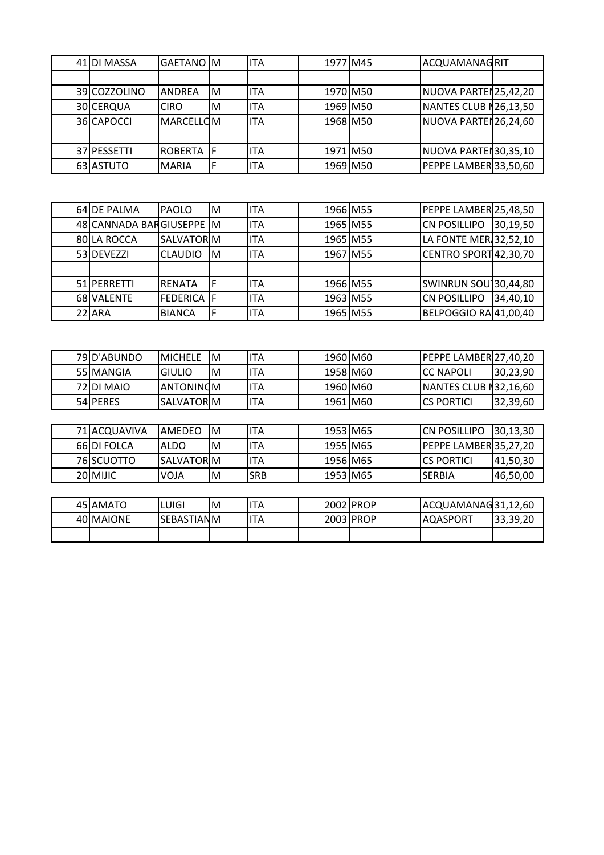| 41 DI MASSA  | GAETANO M         |   | <b>ITA</b> | 1977 M45 | ACQUAMANAGRIT         |  |
|--------------|-------------------|---|------------|----------|-----------------------|--|
|              |                   |   |            |          |                       |  |
| 39 COZZOLINO | <b>ANDREA</b>     | M | <b>ITA</b> | 1970 M50 | NUOVA PARTEN25,42,20  |  |
| 30 CERQUA    | <b>CIRO</b>       | M | <b>ITA</b> | 1969 M50 | NANTES CLUB N26,13,50 |  |
| 36 CAPOCCI   | <b>MARCELLOM</b>  |   | <b>ITA</b> | 1968 M50 | NUOVA PARTEN26,24,60  |  |
|              |                   |   |            |          |                       |  |
| 37 PESSETTI  | ROBERTA <b>IF</b> |   | <b>ITA</b> | 1971 M50 | NUOVA PARTEN30,35,10  |  |
| 63 ASTUTO    | <b>MARIA</b>      |   | <b>ITA</b> | 1969 M50 | PEPPE LAMBER 33,50,60 |  |

| 64 DE PALMA              | <b>PAOLO</b>      | IМ | <b>ITA</b>  | 1966 M55 | PEPPE LAMBER 25,48,50       |          |
|--------------------------|-------------------|----|-------------|----------|-----------------------------|----------|
| 48 CANNADA BARGIUSEPPE M |                   |    | lita        | 1965 M55 | <b>CN POSILLIPO</b>         | 30,19,50 |
| 80 LA ROCCA              | <b>SALVATORM</b>  |    | <b>ITA</b>  | 1965 M55 | LA FONTE MER 32,52,10       |          |
| 53 DEVEZZI               | CLAUDIO M         |    | <b>IITA</b> | 1967 M55 | CENTRO SPORT 42,30,70       |          |
|                          |                   |    |             |          |                             |          |
| 51 PERRETTI              | <b>RENATA</b>     |    | lita        | 1966 M55 | <b>SWINRUN SOU 30,44,80</b> |          |
| 68 VALENTE               | <b>FEDERICA</b> F |    | <b>ITA</b>  | 1963 M55 | <b>CN POSILLIPO</b>         | 34,40,10 |
| 22 ARA                   | <b>BIANCA</b>     |    | <b>ITA</b>  | 1965 M55 | BELPOGGIO RA 41,00,40       |          |

| 79 D'ABUNDO | <b>IMICHELE</b>   | -IM | <b>ITA</b> | 1960 M60 | <b>PEPPE LAMBER 27,40,20</b>  |          |
|-------------|-------------------|-----|------------|----------|-------------------------------|----------|
| 55 MANGIA   | IGIULIO           | ΙM  | 'TA        | 1958 M60 | <b>ICC NAPOLI</b>             | 30,23,90 |
| 72 DI MAIO  | IANTONINOM        |     | 'TA        | 1960 M60 | <b>INANTES CLUB N32,16,60</b> |          |
| 54 PERES    | <b>SALVATORIM</b> |     | 'TA        | 1961 M60 | <b>ICS PORTICI</b>            | 32,39,60 |

| 71 ACOUAVIVA | AMEDEO      | ΙM | IITA       | 1953 M65 | ICN POSILLIPO                | 30.13.30  |
|--------------|-------------|----|------------|----------|------------------------------|-----------|
| 66 DI FOLCA  | ALDO        | ΙM | IITA       | 1955 M65 | <b>PEPPE LAMBER135,27,20</b> |           |
| 76 SCUOTTO   | ISALVATORIM |    | <b>ITA</b> | 1956 M65 | ICS PORTICI                  | 141,50,30 |
| 20 MIJIC     | VOJA        | ΙM | <b>SRB</b> | 1953 M65 | <b>SERBIA</b>                | 146,50,00 |

| 45 AMATO  | LUIGI       | ΙM | 'TA | 2002 PROP | ACQUAMANAG31,12,60 |          |
|-----------|-------------|----|-----|-----------|--------------------|----------|
| 40 MAIONE | ISEBASTIANM |    | 'TA | 2003 PROP | <b>IAQASPORT</b>   | 33,39,20 |
|           |             |    |     |           |                    |          |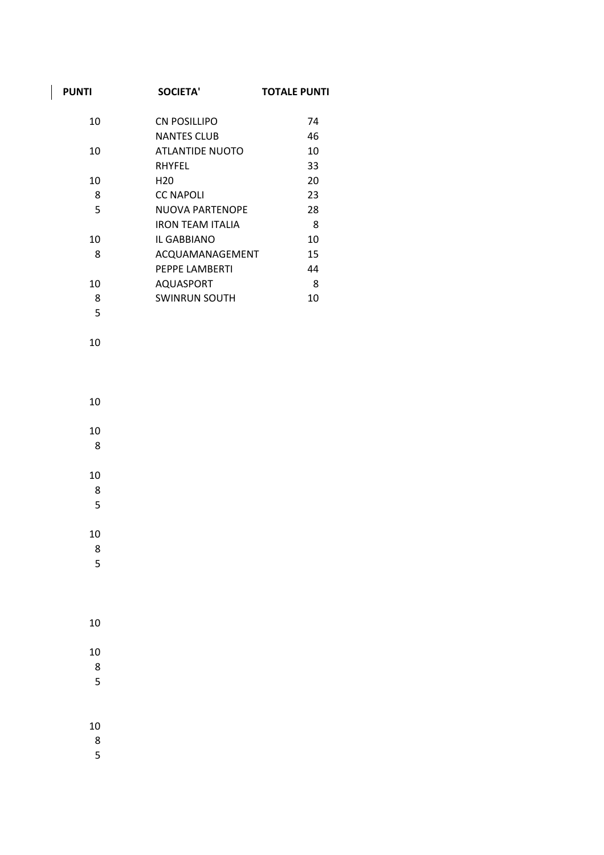| <b>PUNTI</b> | <b>SOCIETA'</b>         | <b>TOTALE PUNTI</b> |
|--------------|-------------------------|---------------------|
| 10           | CN POSILLIPO            | 74                  |
|              | <b>NANTES CLUB</b>      | 46                  |
| 10           | <b>ATLANTIDE NUOTO</b>  | 10                  |
|              | RHYFEL                  | 33                  |
| 10           | H <sub>20</sub>         | 20                  |
| 8            | <b>CC NAPOLI</b>        | 23                  |
| 5            | NUOVA PARTENOPE         | 28                  |
|              | <b>IRON TEAM ITALIA</b> | 8                   |
| 10           | IL GABBIANO             | 10                  |
| 8            | ACQUAMANAGEMENT         | 15                  |
|              | PEPPE LAMBERTI          | 44                  |
| 10           | AQUASPORT               | 8                   |
| 8            | <b>SWINRUN SOUTH</b>    | 10                  |
| 5            |                         |                     |

 

 

  $\frac{1}{8}$